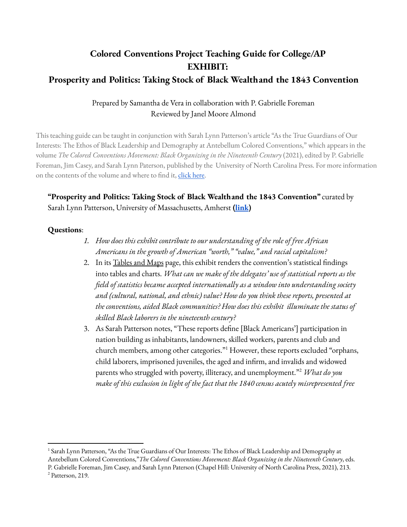# **Colored Conventions Project Teaching Guide for College/AP EXHIBIT: Prosperity and Politics: Taking Stock of Black Wealthand the 1843 Convention**

## Prepared by Samantha de Vera in collaboration with P. Gabrielle Foreman Reviewed by Janel Moore Almond

This teaching guide can be taught in conjunction with Sarah Lynn Patterson's article "As the True Guardians of Our Interests: The Ethos of Black Leadership and Demography at Antebellum Colored Conventions," which appears in the volume *The Colored Conventions Movement: Black Organizing in the Nineteenth Century* (2021), edited by P. Gabrielle Foreman, Jim Casey, and Sarah Lynn Paterson, published by the University of North Carolina Press. For more information on the contents of the volume and where to find it, [click](https://coloredconventions.org/about/book/) here.

## **"Prosperity and Politics: Taking Stock of Black Wealthand the 1843 Convention"** curated by Sarah Lynn Patterson, University of Massachusetts, Amherst **[\(link](https://coloredconventions.org/black-wealth/))**

#### **Questions**:

- *1. How does this exhibit contribute to our understanding of the role of free African Americans in the growth of American "worth," "value," and racial capitalism?*
- 2. In its [Tables](https://coloredconventions.org/black-wealth/tables-and-maps/) and Maps page, this exhibit renders the convention's statistical findings into tables and charts. *What can we make of the delegates' use of statistical reports as the field of statistics became accepted internationally as a window into understanding society and (cultural, national, and ethnic) value? How do you think these reports, presented at the conventions, aided Black communities? How does this exhibit illuminate the status of skilled Black laborers in the nineteenth century?*
- 3. As Sarah Patterson notes, "These reports define [Black Americans'] participation in nation building as inhabitants, landowners, skilled workers, parents and club and church members, among other categories." However, these reports excluded "orphans, 1 child laborers, imprisoned juveniles, the aged and infirm, and invalids and widowed parents who struggled with poverty, illiteracy, and unemployment."<sup>2</sup> What do you *make of this exclusion in light of the fact that the 1840 census acutely misrepresented free*

<sup>2</sup> Patterson, 219. <sup>1</sup> Sarah Lynn Patterson, "As the True Guardians of Our Interests: The Ethos of Black Leadership and Demography at Antebellum Colored Conventions,"*The Colored Conventions Movement: Black Organizing in the Nineteenth Century*, eds. P. Gabrielle Foreman, Jim Casey, and Sarah Lynn Paterson (Chapel Hill: University of North Carolina Press, 2021), 213.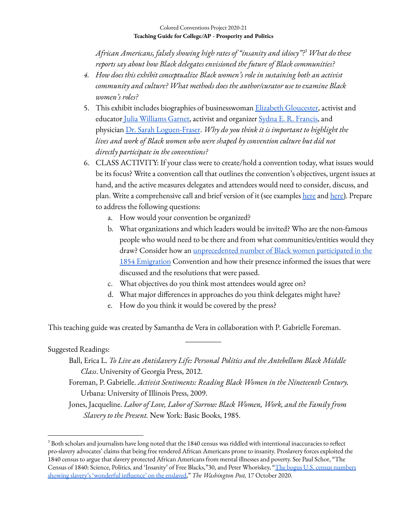*African Americans, falsely showing high rates of "insanity and idiocy"? What do these 3 reports say about how Black delegates envisioned the future of Black communities?*

- *4. How does this exhibit conceptualize Black women's role in sustaining both an activist community and culture? What methods does the author/curator use to examine Black women's roles?*
- 5. This exhibit includes biographies of businesswoman Elizabeth [Gloucester,](https://coloredconventions.org/black-wealth/biographies/elizabeth-gloucester/) activist and educator Julia [Williams](https://coloredconventions.org/black-wealth/biographies/julia-williams-garnet/) Garnet, activist and organizer Sydna E. R. [Francis](https://coloredconventions.org/black-wealth/biographies/sydna-e-r-francis/), and physician Dr. Sarah [Loguen-Fraser](https://coloredconventions.org/black-wealth/biographies/sarah-marinda-loguen-fraser/). *Why do you think it is important to highlight the lives and work of Black women who were shaped by convention culture but did not directly participate in the conventions?*
- 6. CLASS ACTIVITY: If your class were to create/hold a convention today, what issues would be its focus? Write a convention call that outlines the convention's objectives, urgent issues at hand, and the active measures delegates and attendees would need to consider, discuss, and plan. Write a comprehensive call and brief version of it (see examples [here](https://omeka.coloredconventions.org/items/show/596) and [here\)](https://omeka.coloredconventions.org/items/show/1656). Prepare to address the following questions:
	- a. How would your convention be organized?
	- b. What organizations and which leaders would be invited? Who are the non-famous people who would need to be there and from what communities/entities would they draw? Consider how an *[unprecedented](https://coloredconventions.org/emigration-debate/women-involvement/women-delegates/) number of Black women participated in the* 1854 [Emigration](https://coloredconventions.org/emigration-debate/women-involvement/women-delegates/) Convention and how their presence informed the issues that were discussed and the resolutions that were passed.
	- c. What objectives do you think most attendees would agree on?
	- d. What major differences in approaches do you think delegates might have?
	- e. How do you think it would be covered by the press?

This teaching guide was created by Samantha de Vera in collaboration with P. Gabrielle Foreman.

### Suggested Readings:

Ball, Erica L. *To Live an Antislavery Life: Personal Politics and the Antebellum Black Middle Class*. University of Georgia Press, 2012.

\_\_\_\_\_\_\_\_\_

Foreman, P. Gabrielle. *Activist Sentiments: Reading Black Women in the Nineteenth Century.* Urbana: University of Illinois Press, 2009.

Jones, Jacqueline. *Labor of Love, Labor of Sorrow: Black Women, Work, and the Family from Slavery to the Present.* New York: Basic Books, 1985.

 $^3$  Both scholars and journalists have long noted that the 1840 census was riddled with intentional inaccuracies to reflect pro-slavery advocates' claims that being free rendered African Americans prone to insanity. Proslavery forces exploited the 1840 census to argue that slavery protected African Americans from mental illnesses and poverty. See Paul Schor, "The Census of 1840: Science, Politics, and 'Insanity' of Free Blacks,"30, and Peter Whoriskey, "The bogus U.S. census [numbers](https://www.washingtonpost.com/history/2020/10/17/1840-census-slavery-insanity/) showing slavery's ['wonderful](https://www.washingtonpost.com/history/2020/10/17/1840-census-slavery-insanity/) influence' on the enslaved," *The Washington Post,* 17 October 2020.